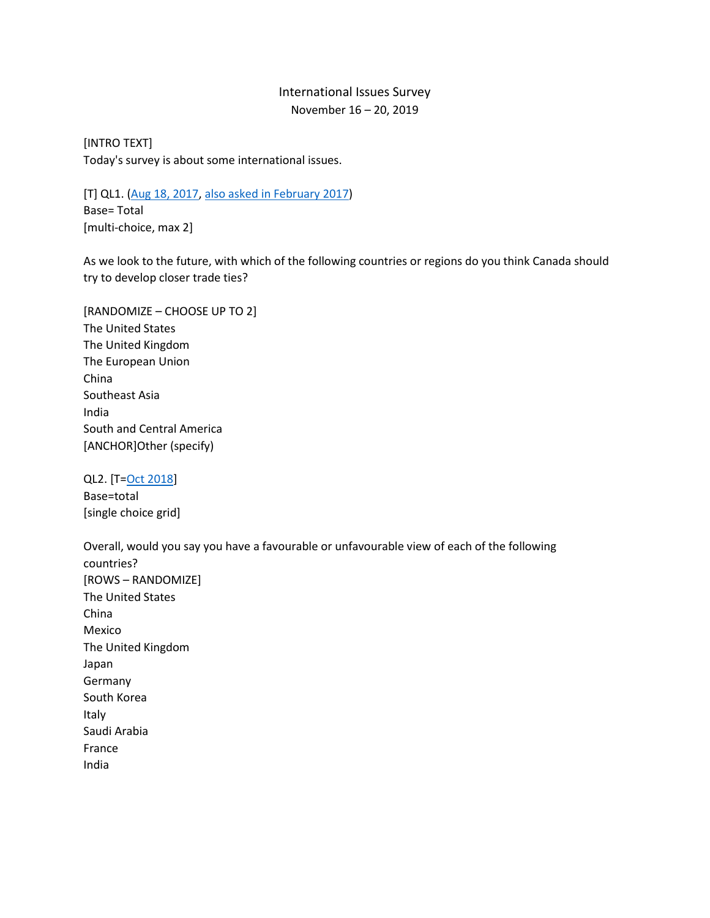## International Issues Survey November 16 – 20, 2019

[INTRO TEXT] Today's survey is about some international issues.

[T] QL1. [\(Aug 18, 2017,](http://angusreid.org/wp-content/uploads/2017/09/2017.09.07_trade-trackers.pdf) [also asked in February 2017\)](http://angusreid.org/ceta-trudeau-europe/) Base= Total [multi-choice, max 2]

As we look to the future, with which of the following countries or regions do you think Canada should try to develop closer trade ties?

[RANDOMIZE – CHOOSE UP TO 2] The United States The United Kingdom The European Union China Southeast Asia India South and Central America [ANCHOR]Other (specify)

QL2. [T[=Oct 2018\]](http://angusreid.org/wp-content/uploads/2018/10/2018.10.10-USMCA-Questionnaire.pdf) Base=total [single choice grid]

Overall, would you say you have a favourable or unfavourable view of each of the following countries? [ROWS – RANDOMIZE] The United States China Mexico The United Kingdom Japan Germany South Korea Italy Saudi Arabia France India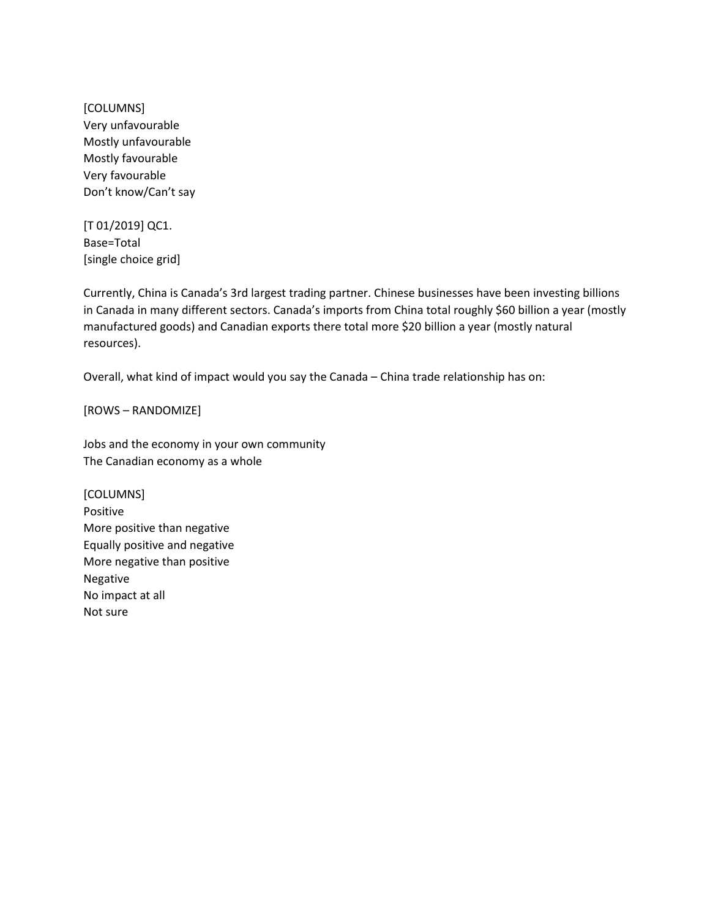[COLUMNS] Very unfavourable Mostly unfavourable Mostly favourable Very favourable Don't know/Can't say

[T 01/2019] QC1. Base=Total [single choice grid]

Currently, China is Canada's 3rd largest trading partner. Chinese businesses have been investing billions in Canada in many different sectors. Canada's imports from China total roughly \$60 billion a year (mostly manufactured goods) and Canadian exports there total more \$20 billion a year (mostly natural resources).

Overall, what kind of impact would you say the Canada – China trade relationship has on:

[ROWS – RANDOMIZE]

Jobs and the economy in your own community The Canadian economy as a whole

[COLUMNS] Positive More positive than negative Equally positive and negative More negative than positive Negative No impact at all Not sure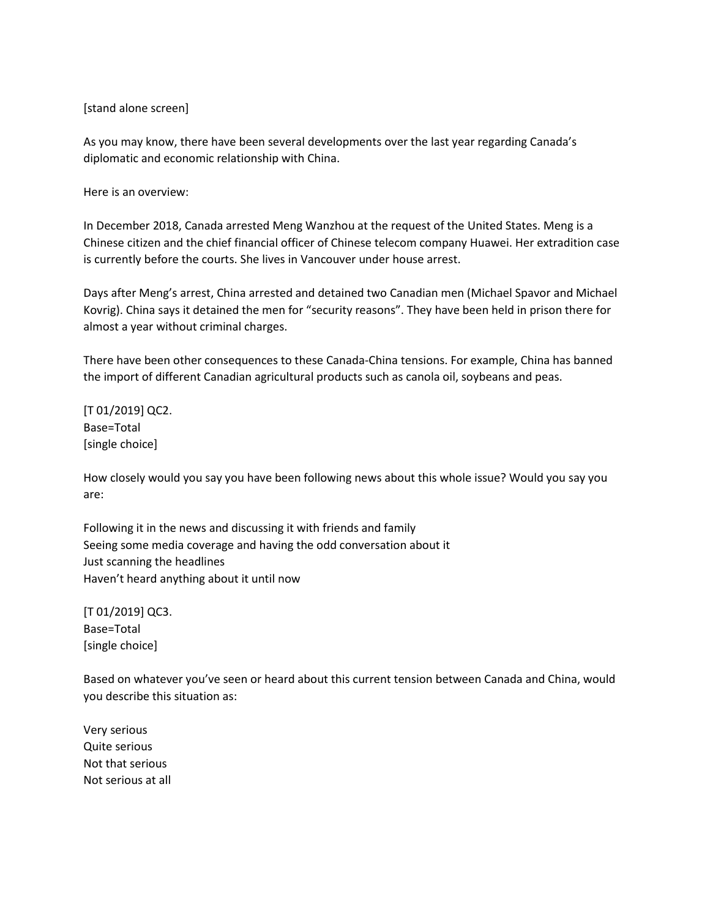## [stand alone screen]

As you may know, there have been several developments over the last year regarding Canada's diplomatic and economic relationship with China.

Here is an overview:

In December 2018, Canada arrested Meng Wanzhou at the request of the United States. Meng is a Chinese citizen and the chief financial officer of Chinese telecom company Huawei. Her extradition case is currently before the courts. She lives in Vancouver under house arrest.

Days after Meng's arrest, China arrested and detained two Canadian men (Michael Spavor and Michael Kovrig). China says it detained the men for "security reasons". They have been held in prison there for almost a year without criminal charges.

There have been other consequences to these Canada-China tensions. For example, China has banned the import of different Canadian agricultural products such as canola oil, soybeans and peas.

[T 01/2019] QC2. Base=Total [single choice]

How closely would you say you have been following news about this whole issue? Would you say you are:

Following it in the news and discussing it with friends and family Seeing some media coverage and having the odd conversation about it Just scanning the headlines Haven't heard anything about it until now

[T 01/2019] QC3. Base=Total [single choice]

Based on whatever you've seen or heard about this current tension between Canada and China, would you describe this situation as:

Very serious Quite serious Not that serious Not serious at all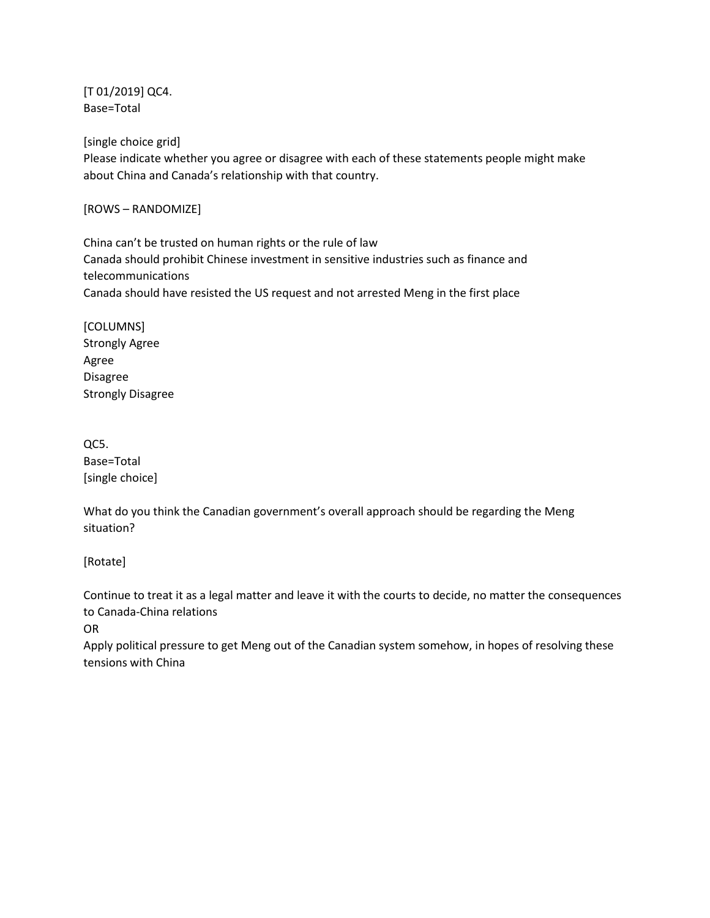[T 01/2019] QC4. Base=Total

[single choice grid]

Please indicate whether you agree or disagree with each of these statements people might make about China and Canada's relationship with that country.

[ROWS – RANDOMIZE]

China can't be trusted on human rights or the rule of law Canada should prohibit Chinese investment in sensitive industries such as finance and telecommunications Canada should have resisted the US request and not arrested Meng in the first place

[COLUMNS] Strongly Agree Agree Disagree Strongly Disagree

QC5. Base=Total [single choice]

What do you think the Canadian government's overall approach should be regarding the Meng situation?

[Rotate]

Continue to treat it as a legal matter and leave it with the courts to decide, no matter the consequences to Canada-China relations

OR

Apply political pressure to get Meng out of the Canadian system somehow, in hopes of resolving these tensions with China